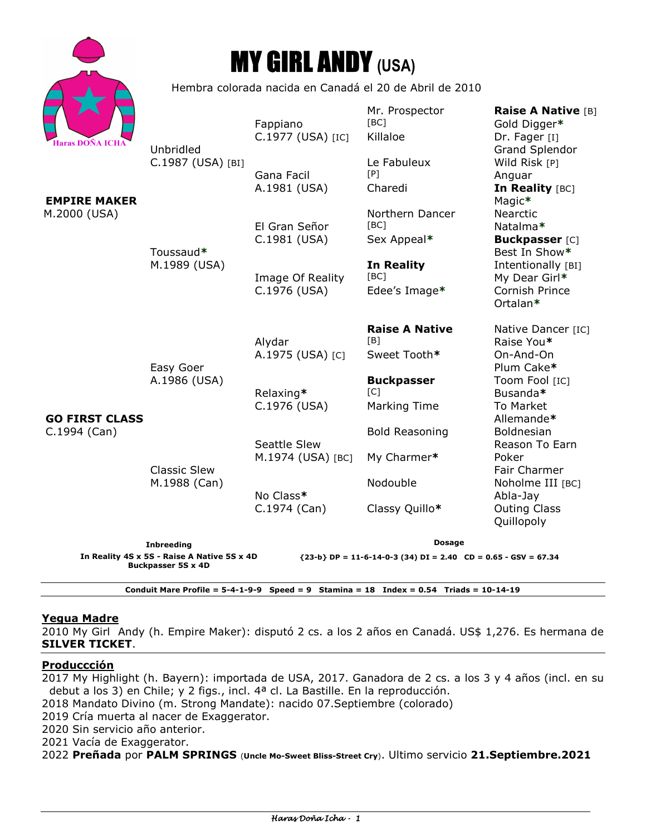|                                         |                                                                          | <b>MY GIRL ANDY (USA)</b>                |                                                                  |                                                                                     |  |
|-----------------------------------------|--------------------------------------------------------------------------|------------------------------------------|------------------------------------------------------------------|-------------------------------------------------------------------------------------|--|
|                                         | Hembra colorada nacida en Canadá el 20 de Abril de 2010                  |                                          |                                                                  |                                                                                     |  |
| <b>Haras DOÑA ICHA</b>                  | Unbridled                                                                | Fappiano<br>C.1977 (USA) [IC]            | Mr. Prospector<br>[BC]<br>Killaloe                               | <b>Raise A Native [B]</b><br>Gold Digger*<br>Dr. Fager [I]<br><b>Grand Splendor</b> |  |
| <b>EMPIRE MAKER</b>                     | C.1987 (USA) [BI]                                                        | Gana Facil<br>A.1981 (USA)               | Le Fabuleux<br>[P]<br>Charedi                                    | Wild Risk [P]<br>Anguar<br>In Reality [BC]<br>Magic*                                |  |
| M.2000 (USA)                            | Toussaud*                                                                | El Gran Señor<br>C.1981 (USA)            | Northern Dancer<br>[BC]<br>Sex Appeal*                           | <b>Nearctic</b><br>Natalma*<br><b>Buckpasser</b> [C]<br>Best In Show*               |  |
| <b>GO FIRST CLASS</b><br>$C.1994$ (Can) | M.1989 (USA)<br>Easy Goer                                                | Image Of Reality<br>C.1976 (USA)         | <b>In Reality</b><br>[BC]<br>Edee's Image*                       | Intentionally [BI]<br>My Dear Girl*<br>Cornish Prince<br>Ortalan*                   |  |
|                                         |                                                                          | Alydar<br>A.1975 (USA) [C]               | <b>Raise A Native</b><br>[B]<br>Sweet Tooth*                     | Native Dancer [IC]<br>Raise You*<br>On-And-On<br>Plum Cake*                         |  |
|                                         | A.1986 (USA)<br><b>Classic Slew</b>                                      | Relaxing*<br>C.1976 (USA)                | <b>Buckpasser</b><br>IC1<br><b>Marking Time</b>                  | Toom Fool [IC]<br>Busanda*<br>To Market<br>Allemande*                               |  |
|                                         |                                                                          | <b>Seattle Slew</b><br>M.1974 (USA) [BC] | <b>Bold Reasoning</b><br>My Charmer*                             | <b>Boldnesian</b><br>Reason To Earn<br>Poker<br><b>Fair Charmer</b>                 |  |
|                                         | M.1988 (Can)                                                             | No Class*<br>$C.1974$ (Can)              | Nodouble<br>Classy Quillo*                                       | Noholme III [BC]<br>Abla-Jay<br><b>Outing Class</b><br>Quillopoly                   |  |
| <b>Inbreeding</b>                       |                                                                          | <b>Dosage</b>                            |                                                                  |                                                                                     |  |
|                                         | In Reality 4S x 5S - Raise A Native 5S x 4D<br><b>Buckpasser 5S x 4D</b> |                                          | ${23-b} DP = 11-6-14-0-3 (34) DI = 2.40 CD = 0.65 - GSV = 67.34$ |                                                                                     |  |

**Conduit Mare Profile = 5-4-1-9-9 Speed = 9 Stamina = 18 Index = 0.54 Triads = 10-14-19** 

# **Yegua Madre**

Haras Doña Icha

2010 My Girl Andy (h. Empire Maker): disputó 2 cs. a los 2 años en Canadá. US\$ 1,276. Es hermana de **SILVER TICKET**.

#### **Produccción**

2017 My Highlight (h. Bayern): importada de USA, 2017. Ganadora de 2 cs. a los 3 y 4 años (incl. en su debut a los 3) en Chile; y 2 figs., incl. 4ª cl. La Bastille. En la reproducción.

2018 Mandato Divino (m. Strong Mandate): nacido 07.Septiembre (colorado)

2019 Cría muerta al nacer de Exaggerator.

2020 Sin servicio año anterior.

2021 Vacía de Exaggerator.

2022 **Preñada** por **PALM SPRINGS** (**Uncle Mo-Sweet Bliss-Street Cry**). Ultimo servicio **21.Septiembre.2021**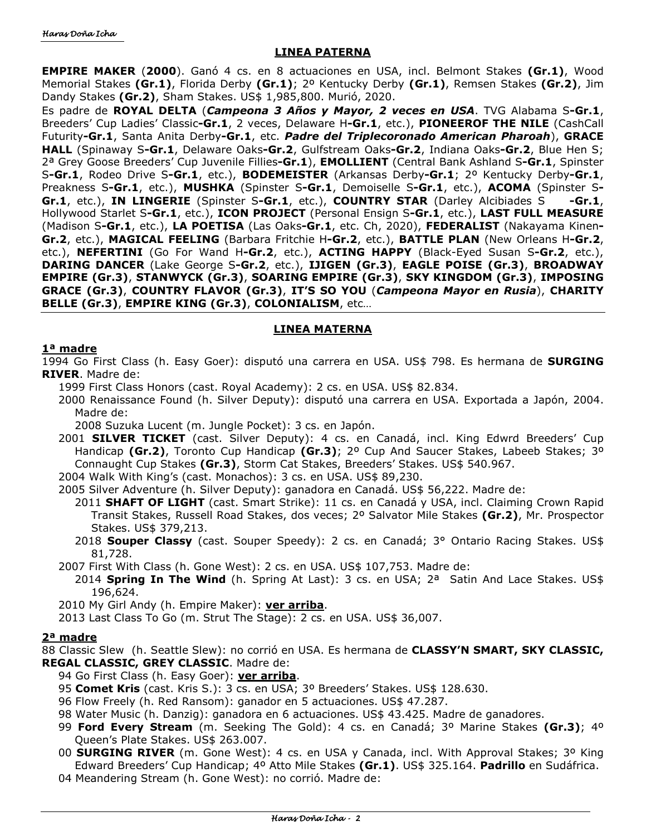# **LINEA PATERNA**

**EMPIRE MAKER** (**2000**). Ganó 4 cs. en 8 actuaciones en USA, incl. Belmont Stakes **(Gr.1)**, Wood Memorial Stakes **(Gr.1)**, Florida Derby **(Gr.1)**; 2º Kentucky Derby **(Gr.1)**, Remsen Stakes **(Gr.2)**, Jim Dandy Stakes **(Gr.2)**, Sham Stakes. US\$ 1,985,800. Murió, 2020.

Es padre de **ROYAL DELTA** (*Campeona 3 Años y Mayor, 2 veces en USA*. TVG Alabama S**-Gr.1**, Breeders' Cup Ladies' Classic**-Gr.1**, 2 veces, Delaware H**-Gr.1**, etc.), **PIONEEROF THE NILE** (CashCall Futurity**-Gr.1**, Santa Anita Derby**-Gr.1**, etc. *Padre del Triplecoronado American Pharoah*), **GRACE HALL** (Spinaway S**-Gr.1**, Delaware Oaks**-Gr.2**, Gulfstream Oaks**-Gr.2**, Indiana Oaks**-Gr.2**, Blue Hen S; 2ª Grey Goose Breeders' Cup Juvenile Fillies**-Gr.1**), **EMOLLIENT** (Central Bank Ashland S**-Gr.1**, Spinster S**-Gr.1**, Rodeo Drive S**-Gr.1**, etc.), **BODEMEISTER** (Arkansas Derby**-Gr.1**; 2º Kentucky Derby**-Gr.1**, Preakness S**-Gr.1**, etc.), **MUSHKA** (Spinster S**-Gr.1**, Demoiselle S**-Gr.1**, etc.), **ACOMA** (Spinster S**-Gr.1**, etc.), **IN LINGERIE** (Spinster S**-Gr.1**, etc.), **COUNTRY STAR** (Darley Alcibiades S **-Gr.1**, Hollywood Starlet S**-Gr.1**, etc.), **ICON PROJECT** (Personal Ensign S**-Gr.1**, etc.), **LAST FULL MEASURE** (Madison S**-Gr.1**, etc.), **LA POETISA** (Las Oaks**-Gr.1**, etc. Ch, 2020), **FEDERALIST** (Nakayama Kinen**-Gr.2**, etc.), **MAGICAL FEELING** (Barbara Fritchie H**-Gr.2**, etc.), **BATTLE PLAN** (New Orleans H**-Gr.2**, etc.), **NEFERTINI** (Go For Wand H**-Gr.2**, etc.), **ACTING HAPPY** (Black-Eyed Susan S**-Gr.2**, etc.), **DARING DANCER** (Lake George S**-Gr.2**, etc.), **IJIGEN (Gr.3)**, **EAGLE POISE (Gr.3)**, **BROADWAY EMPIRE (Gr.3)**, **STANWYCK (Gr.3)**, **SOARING EMPIRE (Gr.3)**, **SKY KINGDOM (Gr.3)**, **IMPOSING GRACE (Gr.3)**, **COUNTRY FLAVOR (Gr.3)**, **IT'S SO YOU** (*Campeona Mayor en Rusia*), **CHARITY BELLE (Gr.3)**, **EMPIRE KING (Gr.3)**, **COLONIALISM**, etc…

# **LINEA MATERNA**

# **1ª madre**

1994 Go First Class (h. Easy Goer): disputó una carrera en USA. US\$ 798. Es hermana de **SURGING RIVER**. Madre de:

1999 First Class Honors (cast. Royal Academy): 2 cs. en USA. US\$ 82.834.

2000 Renaissance Found (h. Silver Deputy): disputó una carrera en USA. Exportada a Japón, 2004. Madre de:

2008 Suzuka Lucent (m. Jungle Pocket): 3 cs. en Japón.

2001 **SILVER TICKET** (cast. Silver Deputy): 4 cs. en Canadá, incl. King Edwrd Breeders' Cup Handicap **(Gr.2)**, Toronto Cup Handicap **(Gr.3)**; 2º Cup And Saucer Stakes, Labeeb Stakes; 3º Connaught Cup Stakes **(Gr.3)**, Storm Cat Stakes, Breeders' Stakes. US\$ 540.967.

2004 Walk With King's (cast. Monachos): 3 cs. en USA. US\$ 89,230.

2005 Silver Adventure (h. Silver Deputy): ganadora en Canadá. US\$ 56,222. Madre de:

- 2011 **SHAFT OF LIGHT** (cast. Smart Strike): 11 cs. en Canadá y USA, incl. Claiming Crown Rapid Transit Stakes, Russell Road Stakes, dos veces; 2º Salvator Mile Stakes **(Gr.2)**, Mr. Prospector Stakes. US\$ 379,213.
- 2018 **Souper Classy** (cast. Souper Speedy): 2 cs. en Canadá; 3° Ontario Racing Stakes. US\$ 81,728.

2007 First With Class (h. Gone West): 2 cs. en USA. US\$ 107,753. Madre de:

2014 **Spring In The Wind** (h. Spring At Last): 3 cs. en USA; 2ª Satin And Lace Stakes. US\$ 196,624.

2010 My Girl Andy (h. Empire Maker): **ver arriba**.

2013 Last Class To Go (m. Strut The Stage): 2 cs. en USA. US\$ 36,007.

#### **2ª madre**

88 Classic Slew (h. Seattle Slew): no corrió en USA. Es hermana de **CLASSY'N SMART, SKY CLASSIC, REGAL CLASSIC, GREY CLASSIC**. Madre de:

# 94 Go First Class (h. Easy Goer): **ver arriba**.

95 **Comet Kris** (cast. Kris S.): 3 cs. en USA; 3º Breeders' Stakes. US\$ 128.630.

96 Flow Freely (h. Red Ransom): ganador en 5 actuaciones. US\$ 47.287.

- 98 Water Music (h. Danzig): ganadora en 6 actuaciones. US\$ 43.425. Madre de ganadores.
- 99 **Ford Every Stream** (m. Seeking The Gold): 4 cs. en Canadá; 3º Marine Stakes **(Gr.3)**; 4º Queen's Plate Stakes. US\$ 263.007.
- 00 **SURGING RIVER** (m. Gone West): 4 cs. en USA y Canada, incl. With Approval Stakes; 3º King Edward Breeders' Cup Handicap; 4º Atto Mile Stakes **(Gr.1)**. US\$ 325.164. **Padrillo** en Sudáfrica.

04 Meandering Stream (h. Gone West): no corrió. Madre de: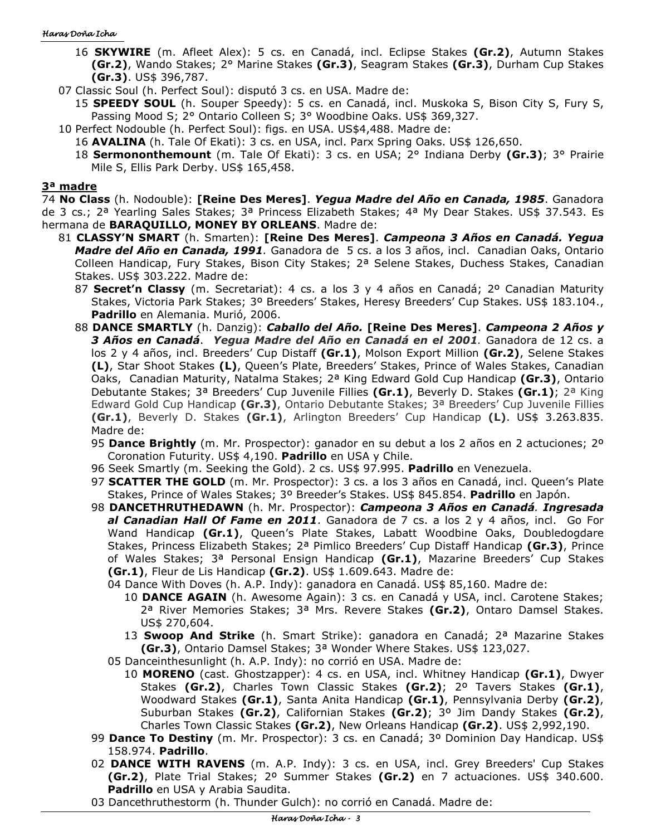- 16 **SKYWIRE** (m. Afleet Alex): 5 cs. en Canadá, incl. Eclipse Stakes **(Gr.2)**, Autumn Stakes **(Gr.2)**, Wando Stakes; 2° Marine Stakes **(Gr.3)**, Seagram Stakes **(Gr.3)**, Durham Cup Stakes **(Gr.3)**. US\$ 396,787.
- 07 Classic Soul (h. Perfect Soul): disputó 3 cs. en USA. Madre de:
	- 15 **SPEEDY SOUL** (h. Souper Speedy): 5 cs. en Canadá, incl. Muskoka S, Bison City S, Fury S, Passing Mood S; 2° Ontario Colleen S; 3° Woodbine Oaks. US\$ 369,327.
- 10 Perfect Nodouble (h. Perfect Soul): figs. en USA. US\$4,488. Madre de:
	- 16 **AVALINA** (h. Tale Of Ekati): 3 cs. en USA, incl. Parx Spring Oaks. US\$ 126,650.
	- 18 **Sermononthemount** (m. Tale Of Ekati): 3 cs. en USA; 2° Indiana Derby **(Gr.3)**; 3° Prairie Mile S, Ellis Park Derby. US\$ 165,458.

#### **3ª madre**

74 **No Class** (h. Nodouble): **[Reine Des Meres]**. *Yegua Madre del Año en Canada, 1985*. Ganadora de 3 cs.; 2<sup>a</sup> Yearling Sales Stakes; 3<sup>a</sup> Princess Elizabeth Stakes; 4<sup>a</sup> My Dear Stakes. US\$ 37.543. Es hermana de **BARAQUILLO, MONEY BY ORLEANS**. Madre de:

- 81 **CLASSY'N SMART** (h. Smarten): **[Reine Des Meres]**. *Campeona 3 Años en Canadá. Yegua Madre del Año en Canada, 1991.* Ganadora de 5 cs. a los 3 años, incl. Canadian Oaks, Ontario Colleen Handicap, Fury Stakes, Bison City Stakes; 2ª Selene Stakes, Duchess Stakes, Canadian Stakes. US\$ 303.222. Madre de:
	- 87 **Secret'n Classy** (m. Secretariat): 4 cs. a los 3 y 4 años en Canadá; 2º Canadian Maturity Stakes, Victoria Park Stakes; 3º Breeders' Stakes, Heresy Breeders' Cup Stakes. US\$ 183.104., **Padrillo** en Alemania. Murió, 2006.
	- 88 **DANCE SMARTLY** (h. Danzig): *Caballo del Año.* **[Reine Des Meres]**. *Campeona 2 Años y 3 Años en Canadá*. *Yegua Madre del Año en Canadá en el 2001.* Ganadora de 12 cs. a los 2 y 4 años, incl. Breeders' Cup Distaff **(Gr.1)**, Molson Export Million **(Gr.2)**, Selene Stakes **(L)**, Star Shoot Stakes **(L)**, Queen's Plate, Breeders' Stakes, Prince of Wales Stakes, Canadian Oaks, Canadian Maturity, Natalma Stakes; 2ª King Edward Gold Cup Handicap **(Gr.3)**, Ontario Debutante Stakes; 3ª Breeders' Cup Juvenile Fillies **(Gr.1)**, Beverly D. Stakes **(Gr.1)**; 2ª King Edward Gold Cup Handicap **(Gr.3)**, Ontario Debutante Stakes; 3ª Breeders' Cup Juvenile Fillies **(Gr.1)**, Beverly D. Stakes **(Gr.1)**, Arlington Breeders' Cup Handicap **(L)**. US\$ 3.263.835. Madre de:
		- 95 **Dance Brightly** (m. Mr. Prospector): ganador en su debut a los 2 años en 2 actuciones; 2º Coronation Futurity. US\$ 4,190. **Padrillo** en USA y Chile.
		- 96 Seek Smartly (m. Seeking the Gold). 2 cs. US\$ 97.995. **Padrillo** en Venezuela.
		- 97 **SCATTER THE GOLD** (m. Mr. Prospector): 3 cs. a los 3 años en Canadá, incl. Queen's Plate Stakes, Prince of Wales Stakes; 3º Breeder's Stakes. US\$ 845.854. **Padrillo** en Japón.
		- 98 **DANCETHRUTHEDAWN** (h. Mr. Prospector): *Campeona 3 Años en Canadá. Ingresada al Canadian Hall Of Fame en 2011*. Ganadora de 7 cs. a los 2 y 4 años, incl. Go For Wand Handicap **(Gr.1)**, Queen's Plate Stakes, Labatt Woodbine Oaks, Doubledogdare Stakes, Princess Elizabeth Stakes; 2ª Pimlico Breeders' Cup Distaff Handicap **(Gr.3)**, Prince of Wales Stakes; 3ª Personal Ensign Handicap **(Gr.1)**, Mazarine Breeders' Cup Stakes **(Gr.1)**, Fleur de Lis Handicap **(Gr.2)**. US\$ 1.609.643. Madre de:
			- 04 Dance With Doves (h. A.P. Indy): ganadora en Canadá. US\$ 85,160. Madre de:
				- 10 **DANCE AGAIN** (h. Awesome Again): 3 cs. en Canadá y USA, incl. Carotene Stakes; 2ª River Memories Stakes; 3ª Mrs. Revere Stakes **(Gr.2)**, Ontaro Damsel Stakes. US\$ 270,604.
				- 13 **Swoop And Strike** (h. Smart Strike): ganadora en Canadá; 2ª Mazarine Stakes **(Gr.3)**, Ontario Damsel Stakes; 3ª Wonder Where Stakes. US\$ 123,027.
			- 05 Danceinthesunlight (h. A.P. Indy): no corrió en USA. Madre de:
				- 10 **MORENO** (cast. Ghostzapper): 4 cs. en USA, incl. Whitney Handicap **(Gr.1)**, Dwyer Stakes **(Gr.2)**, Charles Town Classic Stakes **(Gr.2)**; 2º Tavers Stakes **(Gr.1)**, Woodward Stakes **(Gr.1)**, Santa Anita Handicap **(Gr.1)**, Pennsylvania Derby **(Gr.2)**, Suburban Stakes **(Gr.2)**, Californian Stakes **(Gr.2)**; 3º Jim Dandy Stakes **(Gr.2)**, Charles Town Classic Stakes **(Gr.2)**, New Orleans Handicap **(Gr.2)**. US\$ 2,992,190.
		- 99 **Dance To Destiny** (m. Mr. Prospector): 3 cs. en Canadá; 3º Dominion Day Handicap. US\$ 158.974. **Padrillo**.
		- 02 **DANCE WITH RAVENS** (m. A.P. Indy): 3 cs. en USA, incl. Grey Breeders' Cup Stakes **(Gr.2)**, Plate Trial Stakes; 2º Summer Stakes **(Gr.2)** en 7 actuaciones. US\$ 340.600. **Padrillo** en USA y Arabia Saudita.
		- 03 Dancethruthestorm (h. Thunder Gulch): no corrió en Canadá. Madre de: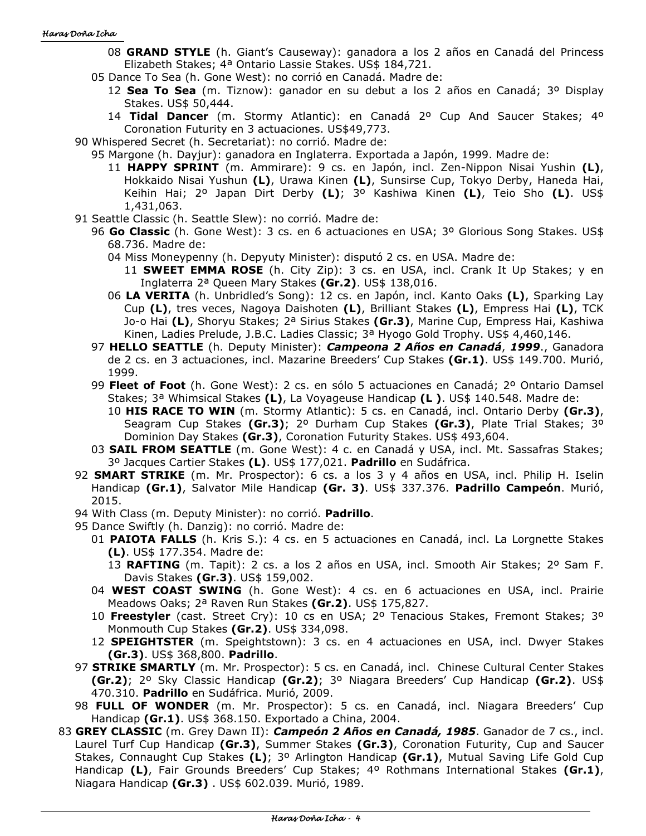- 08 **GRAND STYLE** (h. Giant's Causeway): ganadora a los 2 años en Canadá del Princess Elizabeth Stakes; 4ª Ontario Lassie Stakes. US\$ 184,721.
- 05 Dance To Sea (h. Gone West): no corrió en Canadá. Madre de:
	- 12 **Sea To Sea** (m. Tiznow): ganador en su debut a los 2 años en Canadá; 3º Display Stakes. US\$ 50,444.
	- 14 **Tidal Dancer** (m. Stormy Atlantic): en Canadá 2º Cup And Saucer Stakes; 4º Coronation Futurity en 3 actuaciones. US\$49,773.
- 90 Whispered Secret (h. Secretariat): no corrió. Madre de:
	- 95 Margone (h. Dayjur): ganadora en Inglaterra. Exportada a Japón, 1999. Madre de:
		- 11 **HAPPY SPRINT** (m. Ammirare): 9 cs. en Japón, incl. Zen-Nippon Nisai Yushin **(L)**, Hokkaido Nisai Yushun **(L)**, Urawa Kinen **(L)**, Sunsirse Cup, Tokyo Derby, Haneda Hai, Keihin Hai; 2º Japan Dirt Derby **(L)**; 3º Kashiwa Kinen **(L)**, Teio Sho **(L)**. US\$ 1,431,063.
- 91 Seattle Classic (h. Seattle Slew): no corrió. Madre de:
	- 96 **Go Classic** (h. Gone West): 3 cs. en 6 actuaciones en USA; 3º Glorious Song Stakes. US\$ 68.736. Madre de:
		- 04 Miss Moneypenny (h. Depyuty Minister): disputó 2 cs. en USA. Madre de:
			- 11 **SWEET EMMA ROSE** (h. City Zip): 3 cs. en USA, incl. Crank It Up Stakes; y en Inglaterra 2ª Queen Mary Stakes **(Gr.2)**. US\$ 138,016.
		- 06 **LA VERITA** (h. Unbridled's Song): 12 cs. en Japón, incl. Kanto Oaks **(L)**, Sparking Lay Cup **(L)**, tres veces, Nagoya Daishoten **(L)**, Brilliant Stakes **(L)**, Empress Hai **(L)**, TCK Jo-o Hai **(L)**, Shoryu Stakes; 2ª Sirius Stakes **(Gr.3)**, Marine Cup, Empress Hai, Kashiwa Kinen, Ladies Prelude, J.B.C. Ladies Classic; 3ª Hyogo Gold Trophy. US\$ 4,460,146.
	- 97 **HELLO SEATTLE** (h. Deputy Minister): *Campeona 2 Años en Canadá*, *1999*., Ganadora de 2 cs. en 3 actuaciones, incl. Mazarine Breeders' Cup Stakes **(Gr.1)**. US\$ 149.700. Murió, 1999.
	- 99 **Fleet of Foot** (h. Gone West): 2 cs. en sólo 5 actuaciones en Canadá; 2º Ontario Damsel Stakes; 3ª Whimsical Stakes **(L)**, La Voyageuse Handicap **(L )**. US\$ 140.548. Madre de:
		- 10 **HIS RACE TO WIN** (m. Stormy Atlantic): 5 cs. en Canadá, incl. Ontario Derby **(Gr.3)**, Seagram Cup Stakes **(Gr.3)**; 2º Durham Cup Stakes **(Gr.3)**, Plate Trial Stakes; 3º Dominion Day Stakes **(Gr.3)**, Coronation Futurity Stakes. US\$ 493,604.
	- 03 **SAIL FROM SEATTLE** (m. Gone West): 4 c. en Canadá y USA, incl. Mt. Sassafras Stakes; 3º Jacques Cartier Stakes **(L)**. US\$ 177,021. **Padrillo** en Sudáfrica.
- 92 **SMART STRIKE** (m. Mr. Prospector): 6 cs. a los 3 y 4 años en USA, incl. Philip H. Iselin Handicap **(Gr.1)**, Salvator Mile Handicap **(Gr. 3)**. US\$ 337.376. **Padrillo Campeón**. Murió, 2015.
- 94 With Class (m. Deputy Minister): no corrió. **Padrillo**.
- 95 Dance Swiftly (h. Danzig): no corrió. Madre de:
	- 01 **PAIOTA FALLS** (h. Kris S.): 4 cs. en 5 actuaciones en Canadá, incl. La Lorgnette Stakes **(L)**. US\$ 177.354. Madre de:
		- 13 **RAFTING** (m. Tapit): 2 cs. a los 2 años en USA, incl. Smooth Air Stakes; 2º Sam F. Davis Stakes **(Gr.3)**. US\$ 159,002.
	- 04 **WEST COAST SWING** (h. Gone West): 4 cs. en 6 actuaciones en USA, incl. Prairie Meadows Oaks; 2ª Raven Run Stakes **(Gr.2)**. US\$ 175,827.
	- 10 **Freestyler** (cast. Street Cry): 10 cs en USA; 2º Tenacious Stakes, Fremont Stakes; 3º Monmouth Cup Stakes **(Gr.2)**. US\$ 334,098.
	- 12 **SPEIGHTSTER** (m. Speightstown): 3 cs. en 4 actuaciones en USA, incl. Dwyer Stakes **(Gr.3)**. US\$ 368,800. **Padrillo**.
- 97 **STRIKE SMARTLY** (m. Mr. Prospector): 5 cs. en Canadá, incl. Chinese Cultural Center Stakes **(Gr.2)**; 2º Sky Classic Handicap **(Gr.2)**; 3º Niagara Breeders' Cup Handicap **(Gr.2)**. US\$ 470.310. **Padrillo** en Sudáfrica. Murió, 2009.
- 98 **FULL OF WONDER** (m. Mr. Prospector): 5 cs. en Canadá, incl. Niagara Breeders' Cup Handicap **(Gr.1)**. US\$ 368.150. Exportado a China, 2004.
- 83 **GREY CLASSIC** (m. Grey Dawn II): *Campeón 2 Años en Canadá, 1985*. Ganador de 7 cs., incl. Laurel Turf Cup Handicap **(Gr.3)**, Summer Stakes **(Gr.3)**, Coronation Futurity, Cup and Saucer Stakes, Connaught Cup Stakes **(L)**; 3º Arlington Handicap **(Gr.1)**, Mutual Saving Life Gold Cup Handicap **(L)**, Fair Grounds Breeders' Cup Stakes; 4º Rothmans International Stakes **(Gr.1)**, Niagara Handicap **(Gr.3)** . US\$ 602.039. Murió, 1989.